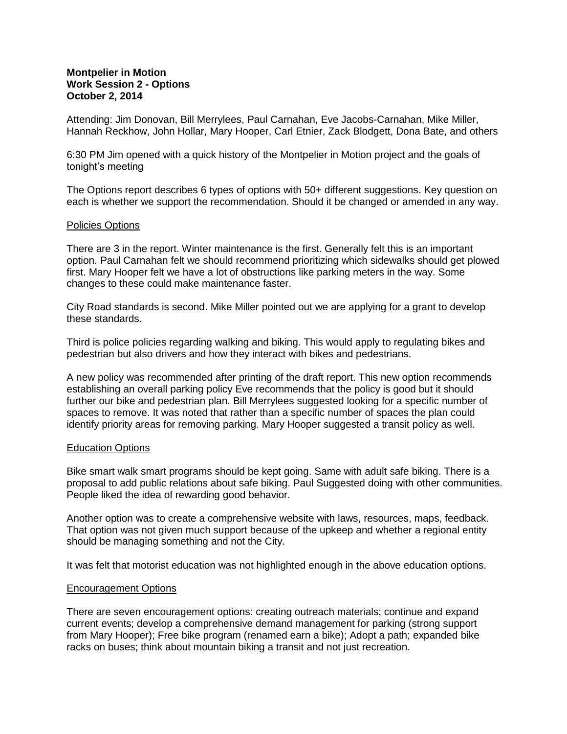# **Montpelier in Motion Work Session 2 - Options October 2, 2014**

Attending: Jim Donovan, Bill Merrylees, Paul Carnahan, Eve Jacobs-Carnahan, Mike Miller, Hannah Reckhow, John Hollar, Mary Hooper, Carl Etnier, Zack Blodgett, Dona Bate, and others

6:30 PM Jim opened with a quick history of the Montpelier in Motion project and the goals of tonight's meeting

The Options report describes 6 types of options with 50+ different suggestions. Key question on each is whether we support the recommendation. Should it be changed or amended in any way.

## Policies Options

There are 3 in the report. Winter maintenance is the first. Generally felt this is an important option. Paul Carnahan felt we should recommend prioritizing which sidewalks should get plowed first. Mary Hooper felt we have a lot of obstructions like parking meters in the way. Some changes to these could make maintenance faster.

City Road standards is second. Mike Miller pointed out we are applying for a grant to develop these standards.

Third is police policies regarding walking and biking. This would apply to regulating bikes and pedestrian but also drivers and how they interact with bikes and pedestrians.

A new policy was recommended after printing of the draft report. This new option recommends establishing an overall parking policy Eve recommends that the policy is good but it should further our bike and pedestrian plan. Bill Merrylees suggested looking for a specific number of spaces to remove. It was noted that rather than a specific number of spaces the plan could identify priority areas for removing parking. Mary Hooper suggested a transit policy as well.

#### Education Options

Bike smart walk smart programs should be kept going. Same with adult safe biking. There is a proposal to add public relations about safe biking. Paul Suggested doing with other communities. People liked the idea of rewarding good behavior.

Another option was to create a comprehensive website with laws, resources, maps, feedback. That option was not given much support because of the upkeep and whether a regional entity should be managing something and not the City.

It was felt that motorist education was not highlighted enough in the above education options.

#### Encouragement Options

There are seven encouragement options: creating outreach materials; continue and expand current events; develop a comprehensive demand management for parking (strong support from Mary Hooper); Free bike program (renamed earn a bike); Adopt a path; expanded bike racks on buses; think about mountain biking a transit and not just recreation.